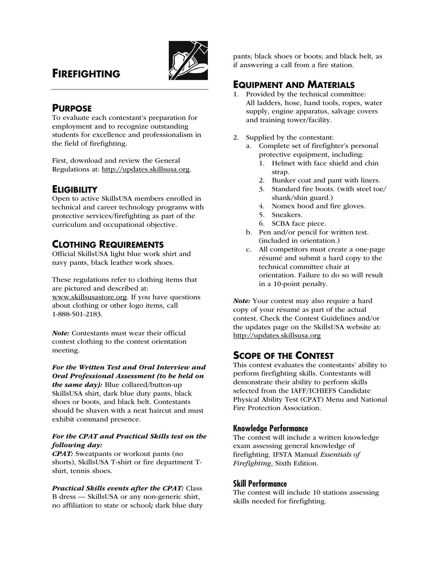# **FIREFIGHTING**



# **PURPOSE**

To evaluate each contestant's preparation for employment and to recognize outstanding students for excellence and professionalism in the field of firefighting.

First, download and review the General Regulations at: http://updates.skillsusa.org.

# **ELIGIBILITY**

Open to active SkillsUSA members enrolled in technical and career technology programs with protective services/firefighting as part of the curriculum and occupational objective.

# **CLOTHING REQUIREMENTS**

Official SkillsUSA light blue work shirt and navy pants, black leather work shoes.

These regulations refer to clothing items that are pictured and described at: www.skillsusastore.org. If you have questions about clothing or other logo items, call 1-888-501-2183.

Note: Contestants must wear their official contest clothing to the contest orientation meeting.

For the Written Test and Oral Interview and Oral Professional Assessment (to be held on the same  $day$ ): Blue collared/button-up SkillsUSA shirt, dark blue duty pants, black shoes or boots, and black belt. Contestants should be shaven with a neat haircut and must exhibit command presence.

#### For the CPAT and Practical Skills test on the following day:

CPAT: Sweatpants or workout pants (no shorts), SkillsUSA T-shirt or fire department Tshirt, tennis shoes.

Practical Skills events after the CPAT: Class B dress — SkillsUSA or any non-generic shirt, no affiliation to state or school; dark blue duty pants; black shoes or boots; and black belt, as if answering a call from a fire station.

## **EQUIPMENT AND MATERIALS**

- 1. Provided by the technical committee: All ladders, hose, hand tools, ropes, water supply, engine apparatus, salvage covers and training tower/facility.
- 2. Supplied by the contestant:
	- a. Complete set of firefighter's personal protective equipment, including:
		- 1. Helmet with face shield and chin strap.
		- 2. Bunker coat and pant with liners.
		- 3. Standard fire boots. (with steel toe/ shank/shin guard.)
		- 4. Nomex hood and fire gloves.
		- 5. Sneakers.
		- 6. SCBA face piece.
	- b. Pen and/or pencil for written test. (included in orientation.)
	- c. All competitors must create a one-page résumé and submit a hard copy to the technical committee chair at orientation. Failure to do so will result in a 10-point penalty.

Note: Your contest may also require a hard copy of your résumé as part of the actual contest. Check the Contest Guidelines and/or the updates page on the SkillsUSA website at: http://updates.skillsusa.org

# **SCOPE OF THE CONTEST**

This contest evaluates the contestants' ability to perform firefighting skills. Contestants will demonstrate their ability to perform skills selected from the IAFF/ICHIEFS Candidate Physical Ability Test (CPAT) Menu and National Fire Protection Association.

### **Knowledge Performance**

The contest will include a written knowledge exam assessing general knowledge of firefighting. IFSTA Manual *Essentials of Firefighting*, Sixth Edition.

### **Skill Performance**

The contest will include 10 stations assessing skills needed for firefighting.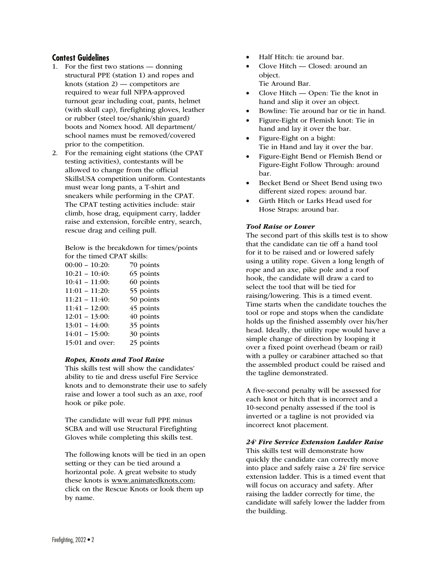#### **Contest Guidelines**

- 1. For the first two stations donning structural PPE (station 1) and ropes and knots (station 2) — competitors are required to wear full NFPA-approved turnout gear including coat, pants, helmet (with skull cap), firefighting gloves, leather or rubber (steel toe/shank/shin guard) boots and Nomex hood. All department/ school names must be removed/covered prior to the competition.
- 2. For the remaining eight stations (the CPAT testing activities), contestants will be allowed to change from the official SkillsUSA competition uniform. Contestants must wear long pants, a T-shirt and sneakers while performing in the CPAT. The CPAT testing activities include: stair climb, hose drag, equipment carry, ladder raise and extension, forcible entry, search, rescue drag and ceiling pull.

 Below is the breakdown for times/points for the timed CPAT skills:

| $00:00 - 10:20$   | 70 points |
|-------------------|-----------|
| $10:21 - 10:40$   | 65 points |
| $10:41 - 11:00$   | 60 points |
| $11:01 - 11:20$   | 55 points |
| $11:21 - 11:40:$  | 50 points |
| $11:41 - 12:00$   | 45 points |
| $12:01 - 13:00$ : | 40 points |
| $13:01 - 14:00$ : | 35 points |
| $14:01 - 15:00$ : | 30 points |
| 15:01 and over:   | 25 points |
|                   |           |

#### Ropes, Knots and Tool Raise

 This skills test will show the candidates' ability to tie and dress useful Fire Service knots and to demonstrate their use to safely raise and lower a tool such as an axe, roof hook or pike pole.

 The candidate will wear full PPE minus SCBA and will use Structural Firefighting Gloves while completing this skills test.

 The following knots will be tied in an open setting or they can be tied around a horizontal pole. A great website to study these knots is www.animatedknots.com; click on the Rescue Knots or look them up by name.

- Half Hitch: tie around bar.
- Clove Hitch Closed: around an object. Tie Around Bar.
- Clove Hitch Open: Tie the knot in hand and slip it over an object.
- Bowline: Tie around bar or tie in hand.
- Figure-Eight or Flemish knot: Tie in hand and lay it over the bar.
- Figure-Eight on a bight: Tie in Hand and lay it over the bar.
- Figure-Eight Bend or Flemish Bend or Figure-Eight Follow Through: around bar.
- Becket Bend or Sheet Bend using two different sized ropes: around bar.
- Girth Hitch or Larks Head used for Hose Straps: around bar.

#### Tool Raise or Lower

 The second part of this skills test is to show that the candidate can tie off a hand tool for it to be raised and or lowered safely using a utility rope. Given a long length of rope and an axe, pike pole and a roof hook, the candidate will draw a card to select the tool that will be tied for raising/lowering. This is a timed event. Time starts when the candidate touches the tool or rope and stops when the candidate holds up the finished assembly over his/her head. Ideally, the utility rope would have a simple change of direction by looping it over a fixed point overhead (beam or rail) with a pulley or carabiner attached so that the assembled product could be raised and the tagline demonstrated.

 A five-second penalty will be assessed for each knot or hitch that is incorrect and a 10-second penalty assessed if the tool is inverted or a tagline is not provided via incorrect knot placement.

#### 24' Fire Service Extension Ladder Raise

 This skills test will demonstrate how quickly the candidate can correctly move into place and safely raise a 24' fire service extension ladder. This is a timed event that will focus on accuracy and safety. After raising the ladder correctly for time, the candidate will safely lower the ladder from the building.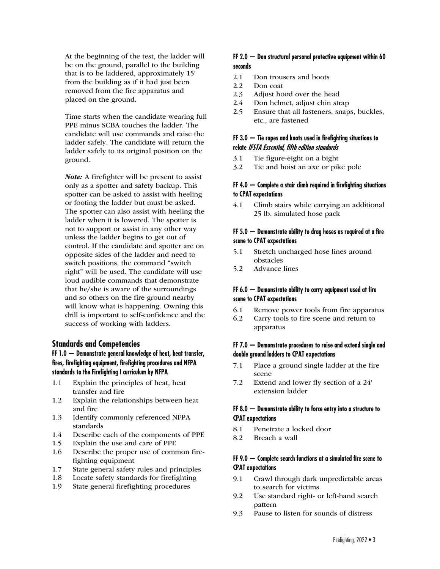At the beginning of the test, the ladder will be on the ground, parallel to the building that is to be laddered, approximately 15' from the building as if it had just been removed from the fire apparatus and placed on the ground.

 Time starts when the candidate wearing full PPE minus SCBA touches the ladder. The candidate will use commands and raise the ladder safely. The candidate will return the ladder safely to its original position on the ground.

Note: A firefighter will be present to assist only as a spotter and safety backup. This spotter can be asked to assist with heeling or footing the ladder but must be asked. The spotter can also assist with heeling the ladder when it is lowered. The spotter is not to support or assist in any other way unless the ladder begins to get out of control. If the candidate and spotter are on opposite sides of the ladder and need to switch positions, the command "switch right" will be used. The candidate will use loud audible commands that demonstrate that he/she is aware of the surroundings and so others on the fire ground nearby will know what is happening. Owning this drill is important to self-confidence and the success of working with ladders.

#### **Standards and Competencies**

#### **FF 1.0 — Demonstrate general knowledge of heat, heat transfer, fires, firefighting equipment, firefighting procedures and NFPA standards to the Firefighting I curriculum by NFPA**

- 1.1 Explain the principles of heat, heat transfer and fire
- 1.2 Explain the relationships between heat and fire
- 1.3 Identify commonly referenced NFPA standards
- 1.4 Describe each of the components of PPE
- 1.5 Explain the use and care of PPE
- 1.6 Describe the proper use of common firefighting equipment
- 1.7 State general safety rules and principles
- 1.8 Locate safety standards for firefighting
- 1.9 State general firefighting procedures

#### **FF 2.0 — Don structural personal protective equipment within 60 seconds**

- 2.1 Don trousers and boots
- 2.2 Don coat
- 2.3 Adjust hood over the head
- 2.4 Don helmet, adjust chin strap
- 2.5 Ensure that all fasteners, snaps, buckles, etc., are fastened

#### **FF 3.0 — Tie ropes and knots used in firefighting situations to relate IFSTA Essential, fifth edition standards**

- 3.1 Tie figure-eight on a bight
- 3.2 Tie and hoist an axe or pike pole

#### **FF 4.0 — Complete a stair climb required in firefighting situations to CPAT expectations**

4.1 Climb stairs while carrying an additional 25 lb. simulated hose pack

#### **FF 5.0 — Demonstrate ability to drag hoses as required at a fire scene to CPAT expectations**

- 5.1 Stretch uncharged hose lines around obstacles
- 5.2 Advance lines

### **FF 6.0 — Demonstrate ability to carry equipment used at fire scene to CPAT expectations**

- 6.1 Remove power tools from fire apparatus
- 6.2 Carry tools to fire scene and return to apparatus

#### **FF 7.0 — Demonstrate procedures to raise and extend single and double ground ladders to CPAT expectations**

- 7.1 Place a ground single ladder at the fire scene
- 7.2 Extend and lower fly section of a 24' extension ladder

#### **FF 8.0 — Demonstrate ability to force entry into a structure to CPAT expectations**

- 8.1 Penetrate a locked door
- 8.2 Breach a wall

#### **FF 9.0 — Complete search functions at a simulated fire scene to CPAT expectations**

- 9.1 Crawl through dark unpredictable areas to search for victims
- 9.2 Use standard right- or left-hand search pattern
- 9.3 Pause to listen for sounds of distress